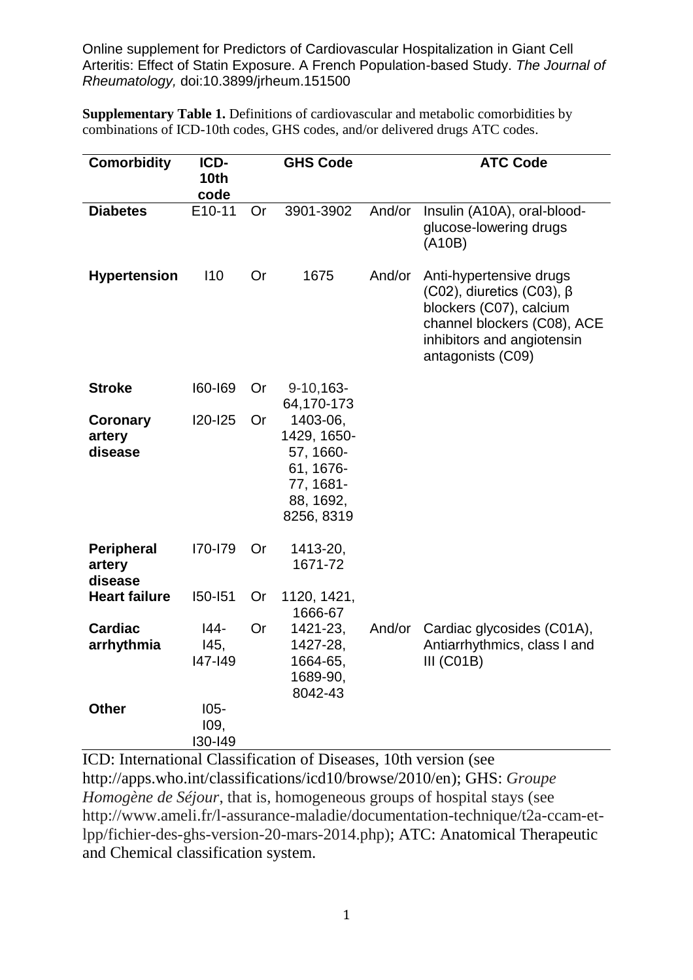Online supplement for Predictors of Cardiovascular Hospitalization in Giant Cell Arteritis: Effect of Statin Exposure. A French Population-based Study. *The Journal of Rheumatology,* doi:10.3899/jrheum.151500

**Supplementary Table 1.** Definitions of cardiovascular and metabolic comorbidities by combinations of ICD-10th codes, GHS codes, and/or delivered drugs ATC codes.

| <b>Comorbidity</b>                     | ICD-<br>10 <sub>th</sub><br>code |           | <b>GHS Code</b>                                                                           |        | <b>ATC Code</b>                                                                                                                                                               |
|----------------------------------------|----------------------------------|-----------|-------------------------------------------------------------------------------------------|--------|-------------------------------------------------------------------------------------------------------------------------------------------------------------------------------|
| <b>Diabetes</b>                        | E10-11                           | <b>Or</b> | 3901-3902                                                                                 | And/or | Insulin (A10A), oral-blood-<br>glucose-lowering drugs<br>(A10B)                                                                                                               |
| <b>Hypertension</b>                    | 110                              | <b>Or</b> | 1675                                                                                      | And/or | Anti-hypertensive drugs<br>$(C02)$ , diuretics $(C03)$ , $\beta$<br>blockers (C07), calcium<br>channel blockers (C08), ACE<br>inhibitors and angiotensin<br>antagonists (C09) |
| <b>Stroke</b>                          | 160-169                          | <b>Or</b> | $9-10,163-$<br>64,170-173                                                                 |        |                                                                                                                                                                               |
| Coronary<br>artery<br>disease          | $120 - 125$                      | <b>Or</b> | 1403-06,<br>1429, 1650-<br>57, 1660-<br>61, 1676-<br>77, 1681-<br>88, 1692,<br>8256, 8319 |        |                                                                                                                                                                               |
| <b>Peripheral</b><br>artery<br>disease | I70-I79                          | <b>Or</b> | 1413-20,<br>1671-72                                                                       |        |                                                                                                                                                                               |
| <b>Heart failure</b>                   | I50-I51                          | Or        | 1120, 1421,<br>1666-67                                                                    |        |                                                                                                                                                                               |
| <b>Cardiac</b><br>arrhythmia           | $144 -$<br>145,<br>147-149       | <b>Or</b> | 1421-23,<br>1427-28,<br>1664-65,<br>1689-90,<br>8042-43                                   | And/or | Cardiac glycosides (C01A),<br>Antiarrhythmics, class I and<br>III (CO1B)                                                                                                      |
| <b>Other</b>                           | $105-$<br>109,<br>130-149        |           |                                                                                           |        |                                                                                                                                                                               |

ICD: International Classification of Diseases, 10th version (see http://apps.who.int/classifications/icd10/browse/2010/en); GHS: *Groupe Homogène de Séjour*, that is, homogeneous groups of hospital stays (see http://www.ameli.fr/l-assurance-maladie/documentation-technique/t2a-ccam-etlpp/fichier-des-ghs-version-20-mars-2014.php); ATC: Anatomical Therapeutic and Chemical classification system.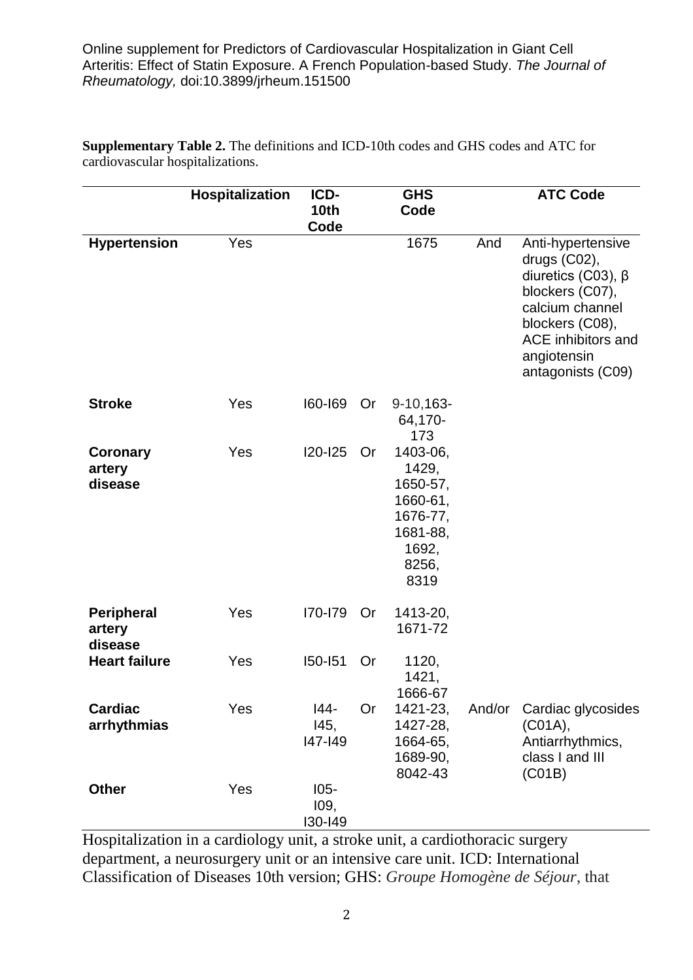Online supplement for Predictors of Cardiovascular Hospitalization in Giant Cell Arteritis: Effect of Statin Exposure. A French Population-based Study. *The Journal of Rheumatology,* doi:10.3899/jrheum.151500

|                                        | Hospitalization | ICD-<br><b>GHS</b>         |           | <b>ATC Code</b>                                                                             |     |                                                                                                                                                                                         |
|----------------------------------------|-----------------|----------------------------|-----------|---------------------------------------------------------------------------------------------|-----|-----------------------------------------------------------------------------------------------------------------------------------------------------------------------------------------|
|                                        |                 | <b>10th</b><br>Code        |           | Code                                                                                        |     |                                                                                                                                                                                         |
| <b>Hypertension</b>                    | Yes             |                            |           | 1675                                                                                        | And | Anti-hypertensive<br>drugs (C02),<br>diuretics (C03), $\beta$<br>blockers (C07),<br>calcium channel<br>blockers (C08),<br><b>ACE</b> inhibitors and<br>angiotensin<br>antagonists (C09) |
| <b>Stroke</b>                          | Yes             | 160-169                    | Or        | $9-10,163-$<br>64,170-<br>173                                                               |     |                                                                                                                                                                                         |
| <b>Coronary</b><br>artery<br>disease   | Yes             | <b>I20-I25</b>             | <b>Or</b> | 1403-06,<br>1429,<br>1650-57,<br>1660-61,<br>1676-77,<br>1681-88,<br>1692,<br>8256,<br>8319 |     |                                                                                                                                                                                         |
| <b>Peripheral</b><br>artery<br>disease | Yes             | I70-I79                    | Or        | 1413-20,<br>1671-72                                                                         |     |                                                                                                                                                                                         |
| <b>Heart failure</b>                   | Yes             | <b>I50-I51</b>             | Or        | 1120,<br>1421,<br>1666-67                                                                   |     |                                                                                                                                                                                         |
| <b>Cardiac</b><br>arrhythmias          | Yes             | I44-<br>I45,<br>147-149    | <b>Or</b> | 1421-23,<br>1427-28,<br>1664-65,<br>1689-90,<br>8042-43                                     |     | And/or Cardiac glycosides<br>(C01A),<br>Antiarrhythmics,<br>class I and III<br>(C01B)                                                                                                   |
| <b>Other</b>                           | Yes             | $105 -$<br>109,<br>130-149 |           |                                                                                             |     |                                                                                                                                                                                         |

**Supplementary Table 2.** The definitions and ICD-10th codes and GHS codes and ATC for cardiovascular hospitalizations.

Hospitalization in a cardiology unit, a stroke unit, a cardiothoracic surgery department, a neurosurgery unit or an intensive care unit. ICD: International Classification of Diseases 10th version; GHS: *Groupe Homogène de Séjour*, that